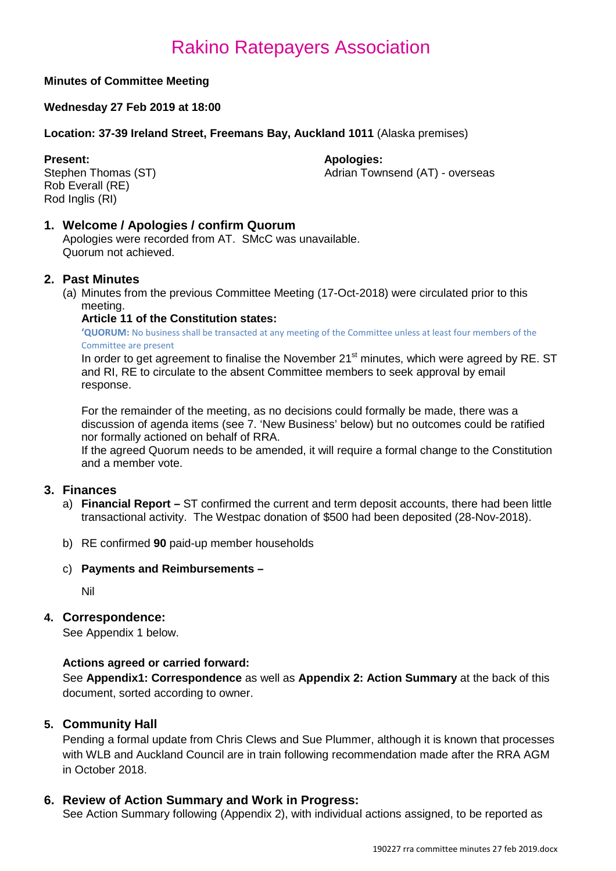# **Minutes of Committee Meeting**

# **Wednesday 27 Feb 2019 at 18:00**

# **Location: 37-39 Ireland Street, Freemans Bay, Auckland 1011** (Alaska premises)

**Present: Apologies: Apologies: Apologies: Adrian Town** Rob Everall (RE) Rod Inglis (RI)

Adrian Townsend (AT) - overseas

# **1. Welcome / Apologies / confirm Quorum**

Apologies were recorded from AT. SMcC was unavailable. Quorum not achieved.

# **2. Past Minutes**

(a) Minutes from the previous Committee Meeting (17-Oct-2018) were circulated prior to this meeting.

# **Article 11 of the Constitution states:**

**'QUORUM:** No business shall be transacted at any meeting of the Committee unless at least four members of the Committee are present

In order to get agreement to finalise the November 21<sup>st</sup> minutes, which were agreed by RE. ST and RI, RE to circulate to the absent Committee members to seek approval by email response.

For the remainder of the meeting, as no decisions could formally be made, there was a discussion of agenda items (see 7. 'New Business' below) but no outcomes could be ratified nor formally actioned on behalf of RRA.

If the agreed Quorum needs to be amended, it will require a formal change to the Constitution and a member vote.

# **3. Finances**

- a) **Financial Report –** ST confirmed the current and term deposit accounts, there had been little transactional activity. The Westpac donation of \$500 had been deposited (28-Nov-2018).
- b) RE confirmed **90** paid-up member households
- c) **Payments and Reimbursements –**

Nil

# **4. Correspondence:**

See Appendix 1 below.

# **Actions agreed or carried forward:**

See **Appendix1: Correspondence** as well as **Appendix 2: Action Summary** at the back of this document, sorted according to owner.

# **5. Community Hall**

Pending a formal update from Chris Clews and Sue Plummer, although it is known that processes with WLB and Auckland Council are in train following recommendation made after the RRA AGM in October 2018.

# **6. Review of Action Summary and Work in Progress:**

See Action Summary following (Appendix 2), with individual actions assigned, to be reported as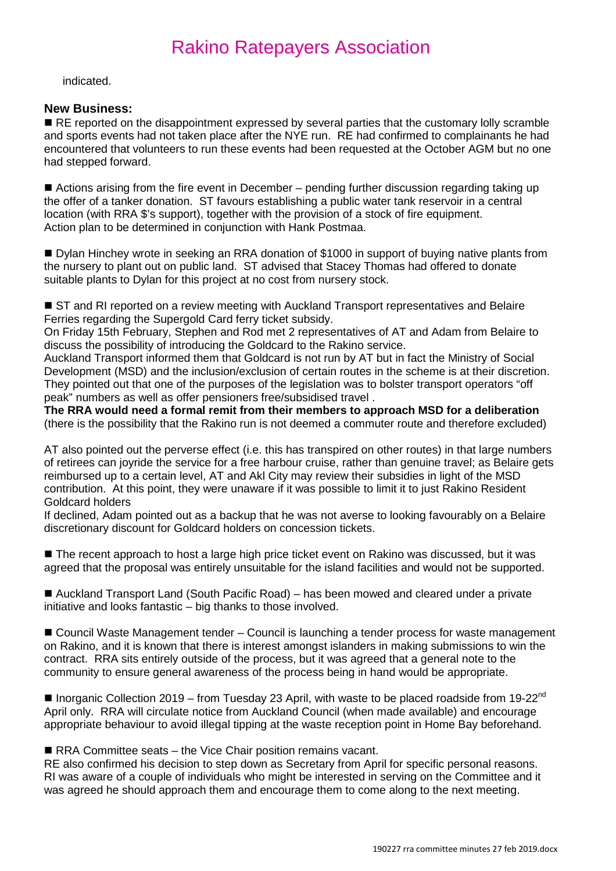indicated.

# **New Business:**

RE reported on the disappointment expressed by several parties that the customary lolly scramble and sports events had not taken place after the NYE run. RE had confirmed to complainants he had encountered that volunteers to run these events had been requested at the October AGM but no one had stepped forward.

■ Actions arising from the fire event in December – pending further discussion regarding taking up the offer of a tanker donation. ST favours establishing a public water tank reservoir in a central location (with RRA \$'s support), together with the provision of a stock of fire equipment. Action plan to be determined in conjunction with Hank Postmaa.

■ Dylan Hinchey wrote in seeking an RRA donation of \$1000 in support of buying native plants from the nursery to plant out on public land. ST advised that Stacey Thomas had offered to donate suitable plants to Dylan for this project at no cost from nursery stock.

■ ST and RI reported on a review meeting with Auckland Transport representatives and Belaire Ferries regarding the Supergold Card ferry ticket subsidy.

On Friday 15th February, Stephen and Rod met 2 representatives of AT and Adam from Belaire to discuss the possibility of introducing the Goldcard to the Rakino service.

Auckland Transport informed them that Goldcard is not run by AT but in fact the Ministry of Social Development (MSD) and the inclusion/exclusion of certain routes in the scheme is at their discretion. They pointed out that one of the purposes of the legislation was to bolster transport operators "off peak" numbers as well as offer pensioners free/subsidised travel .

**The RRA would need a formal remit from their members to approach MSD for a deliberation** (there is the possibility that the Rakino run is not deemed a commuter route and therefore excluded)

AT also pointed out the perverse effect (i.e. this has transpired on other routes) in that large numbers of retirees can joyride the service for a free harbour cruise, rather than genuine travel; as Belaire gets reimbursed up to a certain level, AT and Akl City may review their subsidies in light of the MSD contribution. At this point, they were unaware if it was possible to limit it to just Rakino Resident Goldcard holders

If declined, Adam pointed out as a backup that he was not averse to looking favourably on a Belaire discretionary discount for Goldcard holders on concession tickets.

■ The recent approach to host a large high price ticket event on Rakino was discussed, but it was agreed that the proposal was entirely unsuitable for the island facilities and would not be supported.

■ Auckland Transport Land (South Pacific Road) – has been mowed and cleared under a private initiative and looks fantastic – big thanks to those involved.

■ Council Waste Management tender – Council is launching a tender process for waste management on Rakino, and it is known that there is interest amongst islanders in making submissions to win the contract. RRA sits entirely outside of the process, but it was agreed that a general note to the community to ensure general awareness of the process being in hand would be appropriate.

**Inorganic Collection 2019 – from Tuesday 23 April, with waste to be placed roadside from 19-22<sup>nd</sup>** April only. RRA will circulate notice from Auckland Council (when made available) and encourage appropriate behaviour to avoid illegal tipping at the waste reception point in Home Bay beforehand.

RRA Committee seats – the Vice Chair position remains vacant.

RE also confirmed his decision to step down as Secretary from April for specific personal reasons. RI was aware of a couple of individuals who might be interested in serving on the Committee and it was agreed he should approach them and encourage them to come along to the next meeting.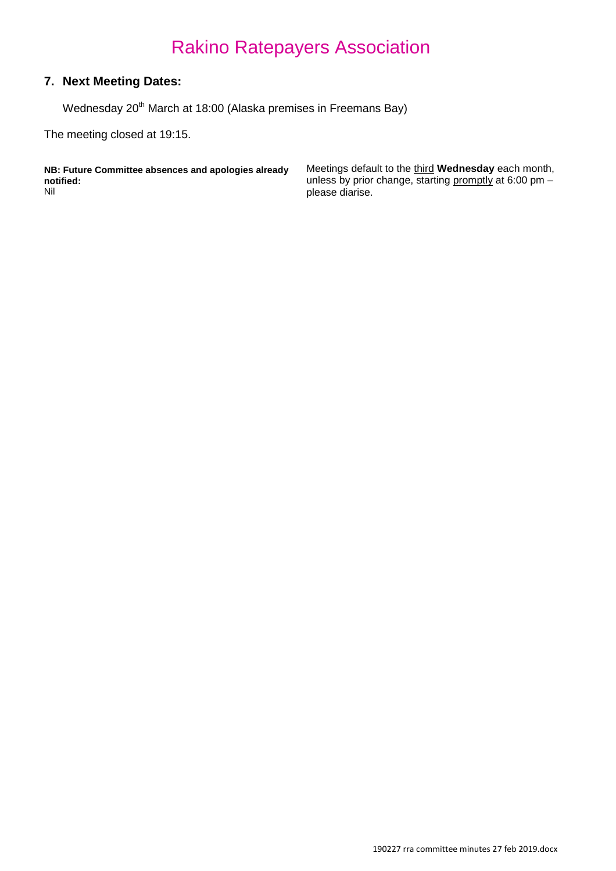# **7. Next Meeting Dates:**

Wednesday 20<sup>th</sup> March at 18:00 (Alaska premises in Freemans Bay)

The meeting closed at 19:15.

**NB: Future Committee absences and apologies already notified:** Nil

Meetings default to the third **Wednesday** each month, unless by prior change, starting promptly at 6:00 pm please diarise.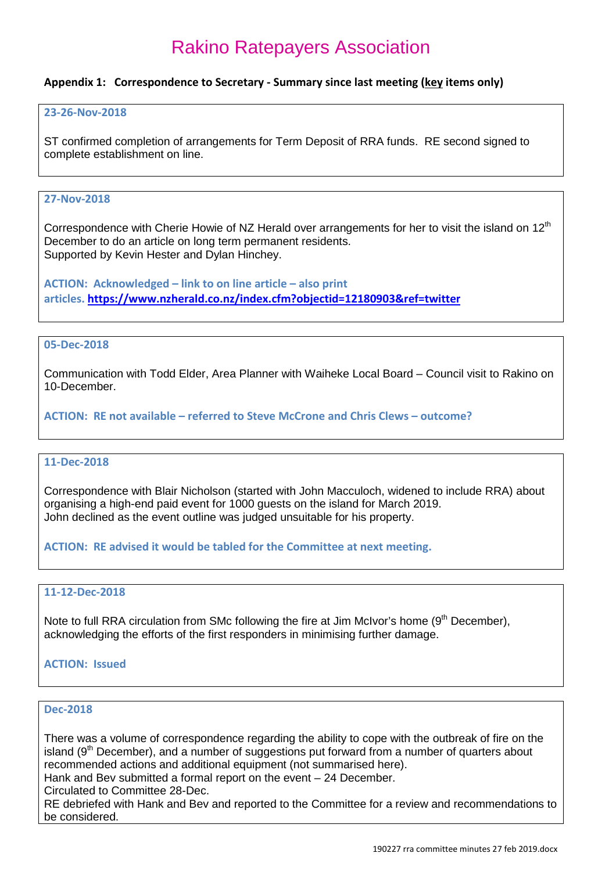### **Appendix 1: Correspondence to Secretary - Summary since last meeting (key items only)**

#### **23-26-Nov-2018**

ST confirmed completion of arrangements for Term Deposit of RRA funds. RE second signed to complete establishment on line.

# **27-Nov-2018**

Correspondence with Cherie Howie of NZ Herald over arrangements for her to visit the island on 12<sup>th</sup> December to do an article on long term permanent residents. Supported by Kevin Hester and Dylan Hinchey.

**ACTION: Acknowledged – link to on line article – also print articles[. https://www.nzherald.co.nz/index.cfm?objectid=12180903&ref=twitter](https://www.nzherald.co.nz/index.cfm?objectid=12180903&ref=twitter)**

#### **05-Dec-2018**

Communication with Todd Elder, Area Planner with Waiheke Local Board – Council visit to Rakino on 10-December.

**ACTION: RE not available – referred to Steve McCrone and Chris Clews – outcome?**

#### **11-Dec-2018**

Correspondence with Blair Nicholson (started with John Macculoch, widened to include RRA) about organising a high-end paid event for 1000 guests on the island for March 2019. John declined as the event outline was judged unsuitable for his property.

**ACTION: RE advised it would be tabled for the Committee at next meeting.** 

### **11-12-Dec-2018**

Note to full RRA circulation from SMc following the fire at Jim McIvor's home (9<sup>th</sup> December), acknowledging the efforts of the first responders in minimising further damage.

#### **ACTION: Issued**

# **Dec-2018**

There was a volume of correspondence regarding the ability to cope with the outbreak of fire on the island  $(9<sup>th</sup> December)$ , and a number of suggestions put forward from a number of quarters about recommended actions and additional equipment (not summarised here).

Hank and Bev submitted a formal report on the event – 24 December.

Circulated to Committee 28-Dec.

RE debriefed with Hank and Bev and reported to the Committee for a review and recommendations to be considered.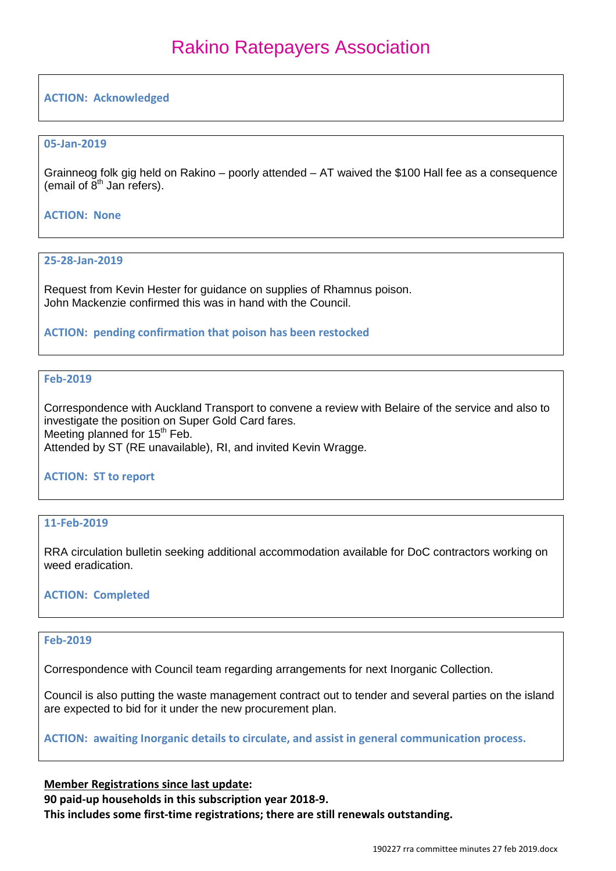# **ACTION: Acknowledged**

# **05-Jan-2019**

Grainneog folk gig held on Rakino – poorly attended – AT waived the \$100 Hall fee as a consequence (email of  $8<sup>th</sup>$  Jan refers).

# **ACTION: None**

#### **25-28-Jan-2019**

Request from Kevin Hester for guidance on supplies of Rhamnus poison. John Mackenzie confirmed this was in hand with the Council.

#### **ACTION: pending confirmation that poison has been restocked**

# **Feb-2019**

Correspondence with Auckland Transport to convene a review with Belaire of the service and also to investigate the position on Super Gold Card fares. Meeting planned for  $15<sup>th</sup>$  Feb. Attended by ST (RE unavailable), RI, and invited Kevin Wragge.

# **ACTION: ST to report**

# **11-Feb-2019**

RRA circulation bulletin seeking additional accommodation available for DoC contractors working on weed eradication.

# **ACTION: Completed**

# **Feb-2019**

Correspondence with Council team regarding arrangements for next Inorganic Collection.

Council is also putting the waste management contract out to tender and several parties on the island are expected to bid for it under the new procurement plan.

**ACTION: awaiting Inorganic details to circulate, and assist in general communication process.**

# **Member Registrations since last update:**

**90 paid-up households in this subscription year 2018-9.**

**This includes some first-time registrations; there are still renewals outstanding.**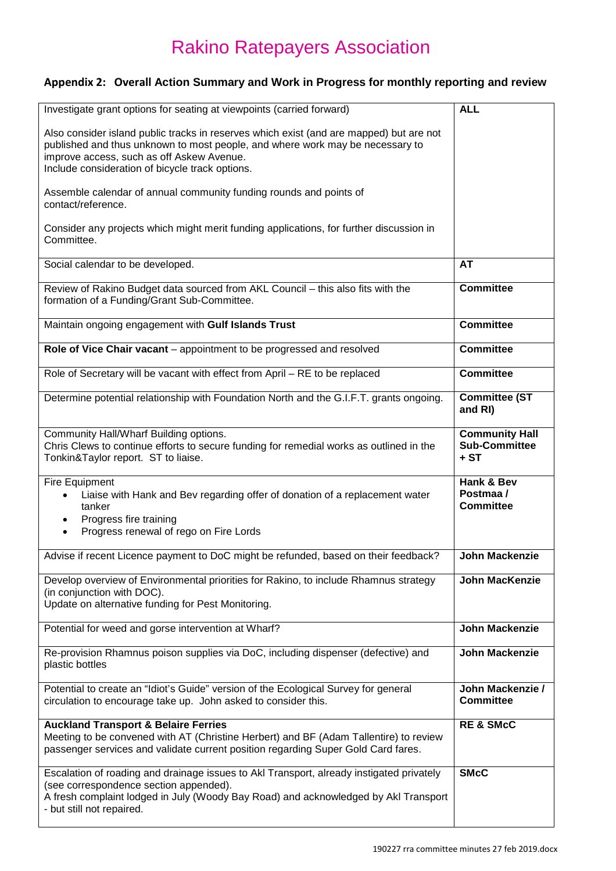# **Appendix 2: Overall Action Summary and Work in Progress for monthly reporting and review**

| Investigate grant options for seating at viewpoints (carried forward)                                                                                                                                                                                  | <b>ALL</b>                                            |
|--------------------------------------------------------------------------------------------------------------------------------------------------------------------------------------------------------------------------------------------------------|-------------------------------------------------------|
| Also consider island public tracks in reserves which exist (and are mapped) but are not<br>published and thus unknown to most people, and where work may be necessary to<br>improve access, such as off Askew Avenue.                                  |                                                       |
| Include consideration of bicycle track options.                                                                                                                                                                                                        |                                                       |
| Assemble calendar of annual community funding rounds and points of<br>contact/reference.                                                                                                                                                               |                                                       |
| Consider any projects which might merit funding applications, for further discussion in<br>Committee.                                                                                                                                                  |                                                       |
| Social calendar to be developed.                                                                                                                                                                                                                       | <b>AT</b>                                             |
| Review of Rakino Budget data sourced from AKL Council - this also fits with the<br>formation of a Funding/Grant Sub-Committee.                                                                                                                         | <b>Committee</b>                                      |
| Maintain ongoing engagement with Gulf Islands Trust                                                                                                                                                                                                    | <b>Committee</b>                                      |
| Role of Vice Chair vacant - appointment to be progressed and resolved                                                                                                                                                                                  | <b>Committee</b>                                      |
| Role of Secretary will be vacant with effect from April - RE to be replaced                                                                                                                                                                            | <b>Committee</b>                                      |
| Determine potential relationship with Foundation North and the G.I.F.T. grants ongoing.                                                                                                                                                                | <b>Committee (ST</b><br>and RI)                       |
| Community Hall/Wharf Building options.<br>Chris Clews to continue efforts to secure funding for remedial works as outlined in the<br>Tonkin&Taylor report. ST to liaise.                                                                               | <b>Community Hall</b><br><b>Sub-Committee</b><br>+ ST |
| Fire Equipment<br>Liaise with Hank and Bev regarding offer of donation of a replacement water<br>tanker<br>Progress fire training<br>Progress renewal of rego on Fire Lords                                                                            | Hank & Bev<br>Postmaa /<br><b>Committee</b>           |
| Advise if recent Licence payment to DoC might be refunded, based on their feedback?                                                                                                                                                                    | <b>John Mackenzie</b>                                 |
|                                                                                                                                                                                                                                                        | John MacKenzie                                        |
| Develop overview of Environmental priorities for Rakino, to include Rhamnus strategy<br>(in conjunction with DOC).<br>Update on alternative funding for Pest Monitoring.                                                                               |                                                       |
| Potential for weed and gorse intervention at Wharf?                                                                                                                                                                                                    | <b>John Mackenzie</b>                                 |
| Re-provision Rhamnus poison supplies via DoC, including dispenser (defective) and<br>plastic bottles                                                                                                                                                   | <b>John Mackenzie</b>                                 |
| Potential to create an "Idiot's Guide" version of the Ecological Survey for general<br>circulation to encourage take up. John asked to consider this.                                                                                                  | John Mackenzie /<br><b>Committee</b>                  |
| <b>Auckland Transport &amp; Belaire Ferries</b><br>Meeting to be convened with AT (Christine Herbert) and BF (Adam Tallentire) to review<br>passenger services and validate current position regarding Super Gold Card fares.                          | <b>RE &amp; SMcC</b>                                  |
| Escalation of roading and drainage issues to Akl Transport, already instigated privately<br>(see correspondence section appended).<br>A fresh complaint lodged in July (Woody Bay Road) and acknowledged by Akl Transport<br>- but still not repaired. | <b>SMcC</b>                                           |